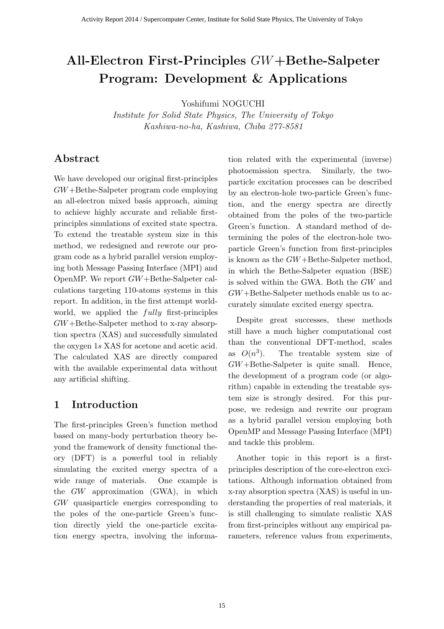# All-Electron First-Principles GW+Bethe-Salpeter Program: Development & Applications

Yoshifumi NOGUCHI

Institute for Solid State Physics, The University of Tokyo Kashiwa-no-ha, Kashiwa, Chiba 277-8581

## Abstract

We have developed our original first-principles GW+Bethe-Salpeter program code employing an all-electron mixed basis approach, aiming to achieve highly accurate and reliable firstprinciples simulations of excited state spectra. To extend the treatable system size in this method, we redesigned and rewrote our program code as a hybrid parallel version employing both Message Passing Interface (MPI) and OpenMP. We report GW+Bethe-Salpeter calculations targeting 110-atoms systems in this report. In addition, in the first attempt worldworld, we applied the  $fully$  first-principles GW+Bethe-Salpeter method to x-ray absorption spectra (XAS) and successfully simulated the oxygen 1s XAS for acetone and acetic acid. The calculated XAS are directly compared with the available experimental data without any artificial shifting.

## 1 Introduction

The first-principles Green's function method based on many-body perturbation theory beyond the framework of density functional theory (DFT) is a powerful tool in reliably simulating the excited energy spectra of a wide range of materials. One example is the GW approximation (GWA), in which GW quasiparticle energies corresponding to the poles of the one-particle Green's function directly yield the one-particle excitation energy spectra, involving the information related with the experimental (inverse) photoemission spectra. Similarly, the twoparticle excitation processes can be described by an electron-hole two-particle Green's function, and the energy spectra are directly obtained from the poles of the two-particle Green's function. A standard method of determining the poles of the electron-hole twoparticle Green's function from first-principles is known as the GW+Bethe-Salpeter method, in which the Bethe-Salpeter equation (BSE) is solved within the GWA. Both the GW and GW+Bethe-Salpeter methods enable us to accurately simulate excited energy spectra.

Despite great successes, these methods still have a much higher computational cost than the conventional DFT-method, scales as  $O(n^3)$ ). The treatable system size of GW+Bethe-Salpeter is quite small. Hence, the development of a program code (or algorithm) capable in extending the treatable system size is strongly desired. For this purpose, we redesign and rewrite our program as a hybrid parallel version employing both OpenMP and Message Passing Interface (MPI) and tackle this problem.

Another topic in this report is a firstprinciples description of the core-electron excitations. Although information obtained from x-ray absorption spectra (XAS) is useful in understanding the properties of real materials, it is still challenging to simulate realistic XAS from first-principles without any empirical parameters, reference values from experiments,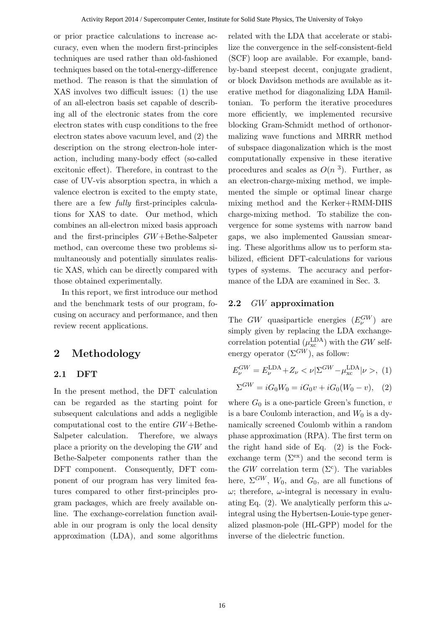or prior practice calculations to increase accuracy, even when the modern first-principles techniques are used rather than old-fashioned techniques based on the total-energy-difference method. The reason is that the simulation of XAS involves two difficult issues: (1) the use of an all-electron basis set capable of describing all of the electronic states from the core electron states with cusp conditions to the free electron states above vacuum level, and (2) the description on the strong electron-hole interaction, including many-body effect (so-called excitonic effect). Therefore, in contrast to the case of UV-vis absorption spectra, in which a valence electron is excited to the empty state, there are a few fully first-principles calculations for XAS to date. Our method, which combines an all-electron mixed basis approach and the first-principles GW+Bethe-Salpeter method, can overcome these two problems simultaneously and potentially simulates realistic XAS, which can be directly compared with those obtained experimentally.

In this report, we first introduce our method and the benchmark tests of our program, focusing on accuracy and performance, and then review recent applications.

# 2 Methodology

#### 2.1 DFT

In the present method, the DFT calculation can be regarded as the starting point for subsequent calculations and adds a negligible computational cost to the entire GW+Bethe-Salpeter calculation. Therefore, we always place a priority on the developing the GW and Bethe-Salpeter components rather than the DFT component. Consequently, DFT component of our program has very limited features compared to other first-principles program packages, which are freely available online. The exchange-correlation function available in our program is only the local density approximation (LDA), and some algorithms related with the LDA that accelerate or stabilize the convergence in the self-consistent-field (SCF) loop are available. For example, bandby-band steepest decent, conjugate gradient, or block Davidson methods are available as iterative method for diagonalizing LDA Hamiltonian. To perform the iterative procedures more efficiently, we implemented recursive blocking Gram-Schmidt method of orthonormalizing wave functions and MRRR method of subspace diagonalization which is the most computationally expensive in these iterative procedures and scales as  $O(n<sup>3</sup>)$ . Further, as an electron-charge-mixing method, we implemented the simple or optimal linear charge mixing method and the Kerker+RMM-DIIS charge-mixing method. To stabilize the convergence for some systems with narrow band gaps, we also implemented Gaussian smearing. These algorithms allow us to perform stabilized, efficient DFT-calculations for various types of systems. The accuracy and performance of the LDA are examined in Sec. 3.

#### 2.2 GW approximation

The GW quasiparticle energies  $(E_{\nu}^{GW})$  are simply given by replacing the LDA exchangecorrelation potential  $(\mu_{\rm xc}^{\rm LDA})$  with the GW selfenergy operator  $(\Sigma^{GW})$ , as follow:

$$
E_{\nu}^{GW} = E_{\nu}^{\text{LDA}} + Z_{\nu} < \nu | \Sigma^{GW} - \mu_{\text{xc}}^{\text{LDA}} | \nu > , (1)
$$

$$
\Sigma^{GW} = iG_0 W_0 = iG_0 v + iG_0 (W_0 - v), \quad (2)
$$

where  $G_0$  is a one-particle Green's function,  $v$ is a bare Coulomb interaction, and  $W_0$  is a dynamically screened Coulomb within a random phase approximation (RPA). The first term on the right hand side of Eq. (2) is the Fockexchange term  $(\Sigma^{\text{ex}})$  and the second term is the  $GW$  correlation term  $(\Sigma^c)$ . The variables here,  $\Sigma^{GW}$ ,  $W_0$ , and  $G_0$ , are all functions of  $\omega$ ; therefore,  $\omega$ -integral is necessary in evaluating Eq. (2). We analytically perform this  $\omega$ integral using the Hybertsen-Louie-type generalized plasmon-pole (HL-GPP) model for the inverse of the dielectric function.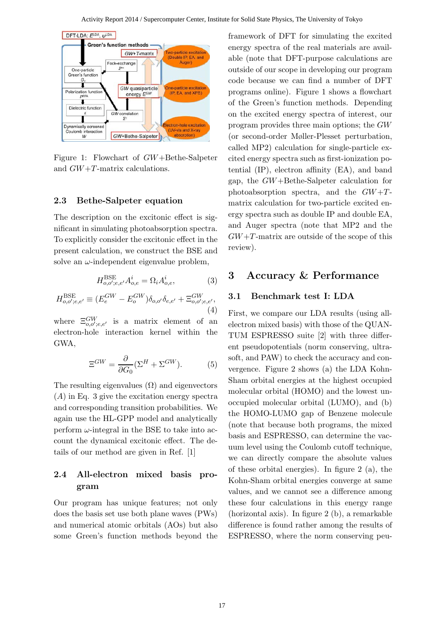

Figure 1: Flowchart of GW+Bethe-Salpeter and GW+T-matrix calculations.

#### 2.3 Bethe-Salpeter equation

The description on the excitonic effect is significant in simulating photoabsorption spectra. To explicitly consider the excitonic effect in the present calculation, we construct the BSE and solve an  $\omega$ -independent eigenvalue problem,

$$
H_{o,o';e,e'}^{\text{BSE}} A_{o,e}^i = \Omega_i A_{o,e}^i,\tag{3}
$$

$$
H_{o,o';e,e'}^{\text{BSE}} \equiv (E_e^{GW} - E_o^{GW}) \delta_{o,o'} \delta_{e,e'} + \Xi_{o,o';e,e'}^{GW},
$$
\n(4)

where  $\Xi^{GW}_{o,o';e,e'}$  is a matrix element of an electron-hole interaction kernel within the GWA,

$$
\Xi^{GW} = \frac{\partial}{\partial G_0} (\Sigma^H + \Sigma^{GW}). \tag{5}
$$

The resulting eigenvalues  $(\Omega)$  and eigenvectors (A) in Eq. 3 give the excitation energy spectra and corresponding transition probabilities. We again use the HL-GPP model and analytically perform  $\omega$ -integral in the BSE to take into account the dynamical excitonic effect. The details of our method are given in Ref. [1]

#### 2.4 All-electron mixed basis program

Our program has unique features; not only does the basis set use both plane waves (PWs) and numerical atomic orbitals (AOs) but also some Green's function methods beyond the framework of DFT for simulating the excited energy spectra of the real materials are available (note that DFT-purpose calculations are outside of our scope in developing our program code because we can find a number of DFT programs online). Figure 1 shows a flowchart of the Green's function methods. Depending on the excited energy spectra of interest, our program provides three main options; the GW (or second-order Møller-Plesset perturbation, called MP2) calculation for single-particle excited energy spectra such as first-ionization potential (IP), electron affinity (EA), and band gap, the GW+Bethe-Salpeter calculation for photoabsorption spectra, and the  $GW+T$ matrix calculation for two-particle excited energy spectra such as double IP and double EA, and Auger spectra (note that MP2 and the  $GW+T$ -matrix are outside of the scope of this review).

#### 3 Accuracy & Performance

#### 3.1 Benchmark test I: LDA

First, we compare our LDA results (using allelectron mixed basis) with those of the QUAN-TUM ESPRESSO suite [2] with three different pseudopotentials (norm conserving, ultrasoft, and PAW) to check the accuracy and convergence. Figure 2 shows (a) the LDA Kohn-Sham orbital energies at the highest occupied molecular orbital (HOMO) and the lowest unoccupied molecular orbital (LUMO), and (b) the HOMO-LUMO gap of Benzene molecule (note that because both programs, the mixed basis and ESPRESSO, can determine the vacuum level using the Coulomb cutoff technique, we can directly compare the absolute values of these orbital energies). In figure 2 (a), the Kohn-Sham orbital energies converge at same values, and we cannot see a difference among these four calculations in this energy range (horizontal axis). In figure 2 (b), a remarkable difference is found rather among the results of ESPRESSO, where the norm conserving peu-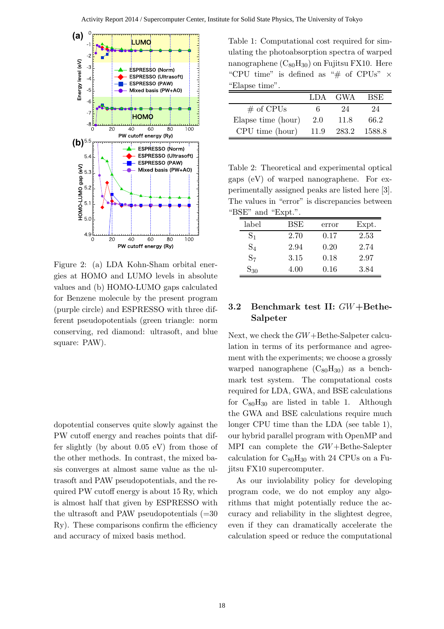

Figure 2: (a) LDA Kohn-Sham orbital energies at HOMO and LUMO levels in absolute values and (b) HOMO-LUMO gaps calculated for Benzene molecule by the present program (purple circle) and ESPRESSO with three different pseudopotentials (green triangle: norm conserving, red diamond: ultrasoft, and blue square: PAW).

dopotential conserves quite slowly against the PW cutoff energy and reaches points that differ slightly (by about 0.05 eV) from those of the other methods. In contrast, the mixed basis converges at almost same value as the ultrasoft and PAW pseudopotentials, and the required PW cutoff energy is about 15 Ry, which is almost half that given by ESPRESSO with the ultrasoft and PAW pseudopotentials  $(=30$ Ry). These comparisons confirm the efficiency and accuracy of mixed basis method.

Table 1: Computational cost required for simulating the photoabsorption spectra of warped nanographene  $(C_{80}H_{30})$  on Fujitsu FX10. Here "CPU time" is defined as "# of CPUs"  $\times$ "Elapse time".

|                    | LDA. | <b>GWA</b> | BSE    |
|--------------------|------|------------|--------|
| $#$ of CPUs        |      | 94         | 24     |
| Elapse time (hour) | 2.0  | 11.8       | 66.2   |
| CPU time (hour)    | 11.9 | 283.2      | 1588.8 |

Table 2: Theoretical and experimental optical gaps (eV) of warped nanographene. For experimentally assigned peaks are listed here [3]. The values in "error" is discrepancies between "BSE" and "Expt.".

| label          | BSE  | error | Expt. |  |
|----------------|------|-------|-------|--|
| S <sub>1</sub> | 2.70 | 0.17  | 2.53  |  |
| $S_4$          | 2.94 | 0.20  | 2.74  |  |
| S <sub>7</sub> | 3.15 | 0.18  | 2.97  |  |
| $S_{30}$       | 4.00 | 0.16  | 3.84  |  |

#### 3.2 Benchmark test II: GW+Bethe-Salpeter

Next, we check the GW+Bethe-Salpeter calculation in terms of its performance and agreement with the experiments; we choose a grossly warped nanographene  $(C_{80}H_{30})$  as a benchmark test system. The computational costs required for LDA, GWA, and BSE calculations for  $C_{80}H_{30}$  are listed in table 1. Although the GWA and BSE calculations require much longer CPU time than the LDA (see table 1), our hybrid parallel program with OpenMP and MPI can complete the GW+Bethe-Salepter calculation for  $C_{80}H_{30}$  with 24 CPUs on a Fujitsu FX10 supercomputer.

As our inviolability policy for developing program code, we do not employ any algorithms that might potentially reduce the accuracy and reliability in the slightest degree, even if they can dramatically accelerate the calculation speed or reduce the computational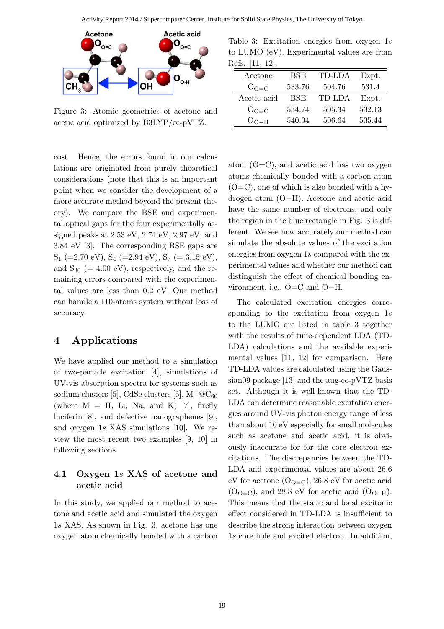

Figure 3: Atomic geometries of acetone and acetic acid optimized by B3LYP/cc-pVTZ.

cost. Hence, the errors found in our calculations are originated from purely theoretical considerations (note that this is an important point when we consider the development of a more accurate method beyond the present theory). We compare the BSE and experimental optical gaps for the four experimentally assigned peaks at 2.53 eV, 2.74 eV, 2.97 eV, and 3.84 eV [3]. The corresponding BSE gaps are  $S_1$  (=2.70 eV),  $S_4$  (=2.94 eV),  $S_7$  (= 3.15 eV), and  $S_{30}$  (= 4.00 eV), respectively, and the remaining errors compared with the experimental values are less than 0.2 eV. Our method can handle a 110-atoms system without loss of accuracy.

# 4 Applications

We have applied our method to a simulation of two-particle excitation [4], simulations of UV-vis absorption spectra for systems such as sodium clusters [5], CdSe clusters [6],  $M^+@C_{60}$ (where  $M = H$ , Li, Na, and K) [7], firefly luciferin [8], and defective nanographenes [9], and oxygen 1s XAS simulations [10]. We review the most recent two examples [9, 10] in following sections.

## 4.1 Oxygen 1s XAS of acetone and acetic acid

In this study, we applied our method to acetone and acetic acid and simulated the oxygen 1s XAS. As shown in Fig. 3, acetone has one oxygen atom chemically bonded with a carbon

Table 3: Excitation energies from oxygen 1s to LUMO (eV). Experimental values are from Refs. [11, 12].

| Acetone     | $_{\rm BSE}$ | TD-LDA | Expt.  |
|-------------|--------------|--------|--------|
| $O_{O=C}$   | 533.76       | 504.76 | 531.4  |
| Acetic acid | BSE          | TD-LDA | Expt.  |
| $O_{O=C}$   | 534.74       | 505.34 | 532.13 |
| $O_{O-H}$   | 540.34       | 506.64 | 535.44 |

atom  $(O=C)$ , and acetic acid has two oxygen atoms chemically bonded with a carbon atom  $(O=C)$ , one of which is also bonded with a hydrogen atom (O−H). Acetone and acetic acid have the same number of electrons, and only the region in the blue rectangle in Fig. 3 is different. We see how accurately our method can simulate the absolute values of the excitation energies from oxygen 1s compared with the experimental values and whether our method can distinguish the effect of chemical bonding environment, i.e., O=C and O−H.

The calculated excitation energies corresponding to the excitation from oxygen 1s to the LUMO are listed in table 3 together with the results of time-dependent LDA (TD-LDA) calculations and the available experimental values [11, 12] for comparison. Here TD-LDA values are calculated using the Gaussian09 package [13] and the aug-cc-pVTZ basis set. Although it is well-known that the TD-LDA can determine reasonable excitation energies around UV-vis photon energy range of less than about 10 eV especially for small molecules such as acetone and acetic acid, it is obviously inaccurate for for the core electron excitations. The discrepancies between the TD-LDA and experimental values are about 26.6 eV for acetone  $(O_{O=Cl})$ , 26.8 eV for acetic acid  $(O<sub>O=C</sub>)$ , and 28.8 eV for acetic acid  $(O<sub>O-H</sub>)$ . This means that the static and local excitonic effect considered in TD-LDA is insufficient to describe the strong interaction between oxygen 1s core hole and excited electron. In addition,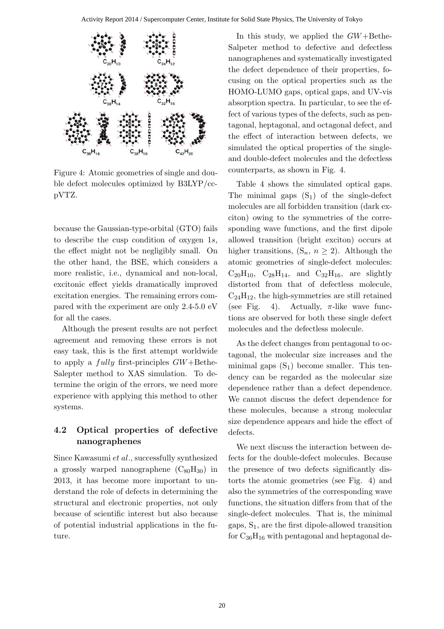

Figure 4: Atomic geometries of single and double defect molecules optimized by B3LYP/ccpVTZ.

because the Gaussian-type-orbital (GTO) fails to describe the cusp condition of oxygen 1s, the effect might not be negligibly small. On the other hand, the BSE, which considers a more realistic, i.e., dynamical and non-local, excitonic effect yields dramatically improved excitation energies. The remaining errors compared with the experiment are only 2.4-5.0 eV for all the cases.

Although the present results are not perfect agreement and removing these errors is not easy task, this is the first attempt worldwide to apply a *fully* first-principles  $GW+Bethe-$ Salepter method to XAS simulation. To determine the origin of the errors, we need more experience with applying this method to other systems.

## 4.2 Optical properties of defective nanographenes

Since Kawasumi et al., successfully synthesized a grossly warped nanographene  $(C_{80}H_{30})$  in 2013, it has become more important to understand the role of defects in determining the structural and electronic properties, not only because of scientific interest but also because of potential industrial applications in the future.

In this study, we applied the  $GW+Bethe-$ Salpeter method to defective and defectless nanographenes and systematically investigated the defect dependence of their properties, focusing on the optical properties such as the HOMO-LUMO gaps, optical gaps, and UV-vis absorption spectra. In particular, to see the effect of various types of the defects, such as pentagonal, heptagonal, and octagonal defect, and the effect of interaction between defects, we simulated the optical properties of the singleand double-defect molecules and the defectless counterparts, as shown in Fig. 4.

Table 4 shows the simulated optical gaps. The minimal gaps  $(S_1)$  of the single-defect molecules are all forbidden transition (dark exciton) owing to the symmetries of the corresponding wave functions, and the first dipole allowed transition (bright exciton) occurs at higher transitions,  $(S_n, n \geq 2)$ . Although the atomic geometries of single-defect molecules:  $C_{20}H_{10}$ ,  $C_{28}H_{14}$ , and  $C_{32}H_{16}$ , are slightly distorted from that of defectless molecule,  $C_{24}H_{12}$ , the high-symmetries are still retained (see Fig. 4). Actually,  $\pi$ -like wave functions are observed for both these single defect molecules and the defectless molecule.

As the defect changes from pentagonal to octagonal, the molecular size increases and the minimal gaps  $(S_1)$  become smaller. This tendency can be regarded as the molecular size dependence rather than a defect dependence. We cannot discuss the defect dependence for these molecules, because a strong molecular size dependence appears and hide the effect of defects.

We next discuss the interaction between defects for the double-defect molecules. Because the presence of two defects significantly distorts the atomic geometries (see Fig. 4) and also the symmetries of the corresponding wave functions, the situation differs from that of the single-defect molecules. That is, the minimal gaps,  $S_1$ , are the first dipole-allowed transition for  $C_{36}H_{16}$  with pentagonal and heptagonal de-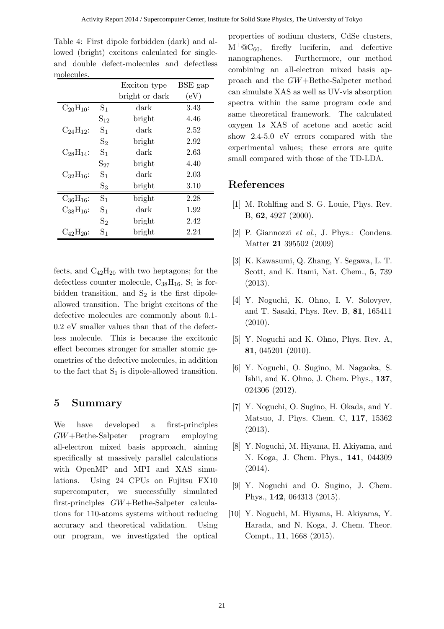|                  |                   | Exciton type   | BSE gap |
|------------------|-------------------|----------------|---------|
|                  |                   | bright or dark | (eV)    |
| $C_{20}H_{10}$ : | $\mathrm{S}_1$    | dark           | 3.43    |
|                  | $S_{12}$          | bright         | 4.46    |
| $C_{24}H_{12}$ : | S <sub>1</sub>    | dark           | 2.52    |
|                  | $S_2$             | bright         | 2.92    |
| $C_{28}H_{14}$ : | S <sub>1</sub>    | dark           | 2.63    |
|                  | $\mathrm{S}_{27}$ | bright         | 4.40    |
| $C_{32}H_{16}$ : | S <sub>1</sub>    | dark           | 2.03    |
|                  | $S_3$             | bright         | 3.10    |
| $C_{36}H_{16}$ : | S <sub>1</sub>    | bright         | 2.28    |
| $C_{38}H_{16}$ : | S <sub>1</sub>    | dark           | 1.92    |
|                  | $S_2$             | bright         | 2.42    |
| $C_{42}H_{20}$ : | $\mathrm{S}_1$    | bright         | 2.24    |
|                  |                   |                |         |

Table 4: First dipole forbidden (dark) and allowed (bright) excitons calculated for singleand double defect-molecules and defectless molecules.

fects, and  $C_{42}H_{20}$  with two heptagons; for the defectless counter molecule,  $C_{38}H_{16}$ ,  $S_1$  is forbidden transition, and  $S_2$  is the first dipoleallowed transition. The bright excitons of the defective molecules are commonly about 0.1- 0.2 eV smaller values than that of the defectless molecule. This is because the excitonic effect becomes stronger for smaller atomic geometries of the defective molecules, in addition to the fact that  $S_1$  is dipole-allowed transition.

# 5 Summary

We have developed a first-principles GW+Bethe-Salpeter program employing all-electron mixed basis approach, aiming specifically at massively parallel calculations with OpenMP and MPI and XAS simulations. Using 24 CPUs on Fujitsu FX10 supercomputer, we successfully simulated first-principles GW+Bethe-Salpeter calculations for 110-atoms systems without reducing accuracy and theoretical validation. Using our program, we investigated the optical

properties of sodium clusters, CdSe clusters,  $M^+ @C_{60}$ , firefly luciferin, and defective nanographenes. Furthermore, our method combining an all-electron mixed basis approach and the GW+Bethe-Salpeter method can simulate XAS as well as UV-vis absorption spectra within the same program code and same theoretical framework. The calculated oxygen 1s XAS of acetone and acetic acid show 2.4-5.0 eV errors compared with the experimental values; these errors are quite small compared with those of the TD-LDA.

## References

- [1] M. Rohlfing and S. G. Louie, Phys. Rev. B, 62, 4927 (2000).
- [2] P. Giannozzi et al., J. Phys.: Condens. Matter 21 395502 (2009)
- [3] K. Kawasumi, Q. Zhang, Y. Segawa, L. T. Scott, and K. Itami, Nat. Chem., 5, 739 (2013).
- [4] Y. Noguchi, K. Ohno, I. V. Solovyev, and T. Sasaki, Phys. Rev. B, 81, 165411 (2010).
- [5] Y. Noguchi and K. Ohno, Phys. Rev. A, 81, 045201 (2010).
- [6] Y. Noguchi, O. Sugino, M. Nagaoka, S. Ishii, and K. Ohno, J. Chem. Phys., 137, 024306 (2012).
- [7] Y. Noguchi, O. Sugino, H. Okada, and Y. Matsuo, J. Phys. Chem. C, 117, 15362 (2013).
- [8] Y. Noguchi, M. Hiyama, H. Akiyama, and N. Koga, J. Chem. Phys., 141, 044309 (2014).
- [9] Y. Noguchi and O. Sugino, J. Chem. Phys., 142, 064313 (2015).
- [10] Y. Noguchi, M. Hiyama, H. Akiyama, Y. Harada, and N. Koga, J. Chem. Theor. Compt., 11, 1668 (2015).